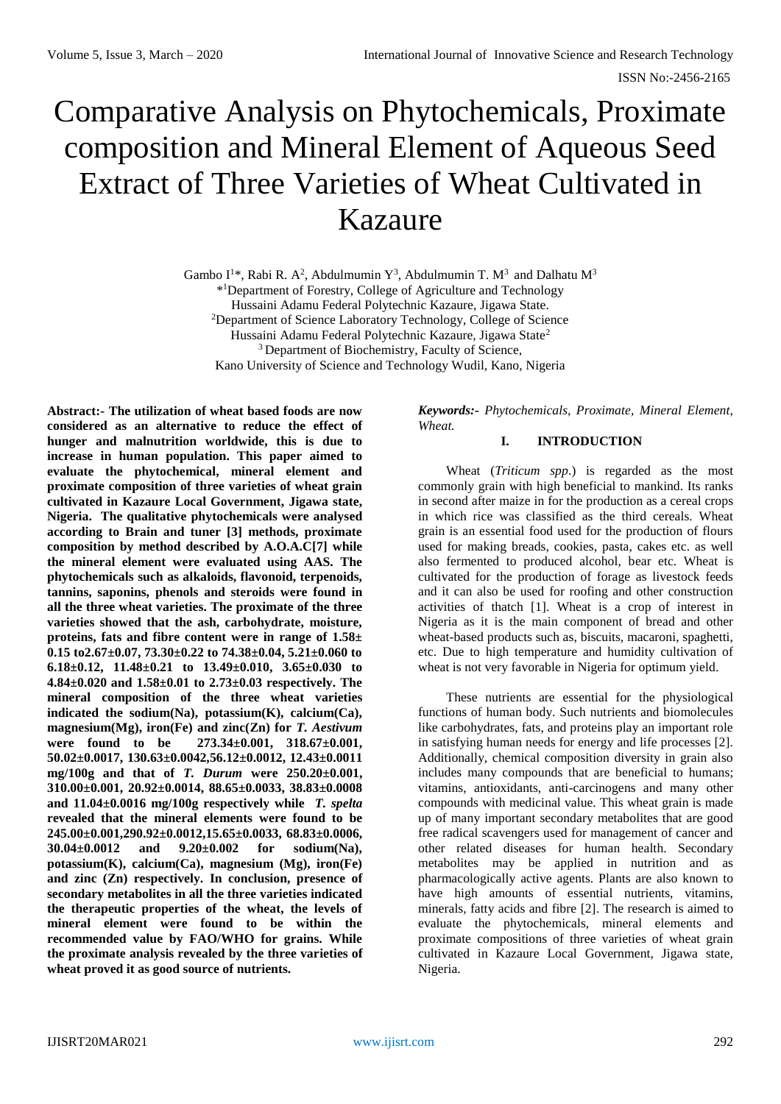ISSN No:-2456-2165

# Comparative Analysis on Phytochemicals, Proximate composition and Mineral Element of Aqueous Seed Extract of Three Varieties of Wheat Cultivated in Kazaure

Gambo I<sup>1\*</sup>, Rabi R. A<sup>2</sup>, Abdulmumin Y<sup>3</sup>, Abdulmumin T. M<sup>3</sup> and Dalhatu M<sup>3</sup> \* <sup>1</sup>Department of Forestry, College of Agriculture and Technology Hussaini Adamu Federal Polytechnic Kazaure, Jigawa State. <sup>2</sup>Department of Science Laboratory Technology, College of Science Hussaini Adamu Federal Polytechnic Kazaure, Jigawa State<sup>2</sup> <sup>3</sup> Department of Biochemistry, Faculty of Science, Kano University of Science and Technology Wudil, Kano, Nigeria

**Abstract:- The utilization of wheat based foods are now considered as an alternative to reduce the effect of hunger and malnutrition worldwide, this is due to increase in human population. This paper aimed to evaluate the phytochemical, mineral element and proximate composition of three varieties of wheat grain cultivated in Kazaure Local Government, Jigawa state, Nigeria. The qualitative phytochemicals were analysed according to Brain and tuner [3] methods, proximate composition by method described by A.O.A.C[7] while the mineral element were evaluated using AAS. The phytochemicals such as alkaloids, flavonoid, terpenoids, tannins, saponins, phenols and steroids were found in all the three wheat varieties. The proximate of the three varieties showed that the ash, carbohydrate, moisture, proteins, fats and fibre content were in range of 1.58± 0.15 to2.67±0.07, 73.30±0.22 to 74.38±0.04, 5.21±0.060 to 6.18±0.12, 11.48±0.21 to 13.49±0.010, 3.65±0.030 to 4.84±0.020 and 1.58±0.01 to 2.73±0.03 respectively. The mineral composition of the three wheat varieties indicated the sodium(Na), potassium(K), calcium(Ca), magnesium(Mg), iron(Fe) and zinc(Zn) for** *T. Aestivum* **were found to be 273.34±0.001, 318.67±0.001, 50.02±0.0017, 130.63±0.0042,56.12±0.0012, 12.43±0.0011 mg/100g and that of** *T. Durum* **were 250.20±0.001, 310.00±0.001, 20.92±0.0014, 88.65±0.0033, 38.83±0.0008 and 11.04±0.0016 mg/100g respectively while** *T. spelta* **revealed that the mineral elements were found to be 245.00±0.001,290.92±0.0012,15.65±0.0033, 68.83±0.0006, 30.04±0.0012 and 9.20±0.002 for sodium(Na), potassium(K), calcium(Ca), magnesium (Mg), iron(Fe) and zinc (Zn) respectively. In conclusion, presence of secondary metabolites in all the three varieties indicated the therapeutic properties of the wheat, the levels of mineral element were found to be within the recommended value by FAO/WHO for grains. While the proximate analysis revealed by the three varieties of wheat proved it as good source of nutrients.**

*Keywords:- Phytochemicals, Proximate, Mineral Element, Wheat.*

## **I. INTRODUCTION**

Wheat (*Triticum spp*.) is regarded as the most commonly grain with high beneficial to mankind. Its ranks in second after maize in for the production as a cereal crops in which rice was classified as the third cereals. Wheat grain is an essential food used for the production of flours used for making breads, cookies, pasta, cakes etc. as well also fermented to produced alcohol, bear etc. Wheat is cultivated for the production of forage as livestock feeds and it can also be used for roofing and other construction activities of thatch [1]. Wheat is a crop of interest in Nigeria as it is the main component of bread and other wheat-based products such as, biscuits, macaroni, spaghetti, etc. Due to high temperature and humidity cultivation of wheat is not very favorable in Nigeria for optimum yield.

These nutrients are essential for the physiological functions of human body. Such nutrients and biomolecules like carbohydrates, fats, and proteins play an important role in satisfying human needs for energy and life processes [2]. Additionally, chemical composition diversity in grain also includes many compounds that are beneficial to humans; vitamins, antioxidants, anti-carcinogens and many other compounds with medicinal value. This wheat grain is made up of many important secondary metabolites that are good free radical scavengers used for management of cancer and other related diseases for human health. Secondary metabolites may be applied in nutrition and as pharmacologically active agents. Plants are also known to have high amounts of essential nutrients, vitamins, minerals, fatty acids and fibre [2]. The research is aimed to evaluate the phytochemicals, mineral elements and proximate compositions of three varieties of wheat grain cultivated in Kazaure Local Government, Jigawa state, Nigeria.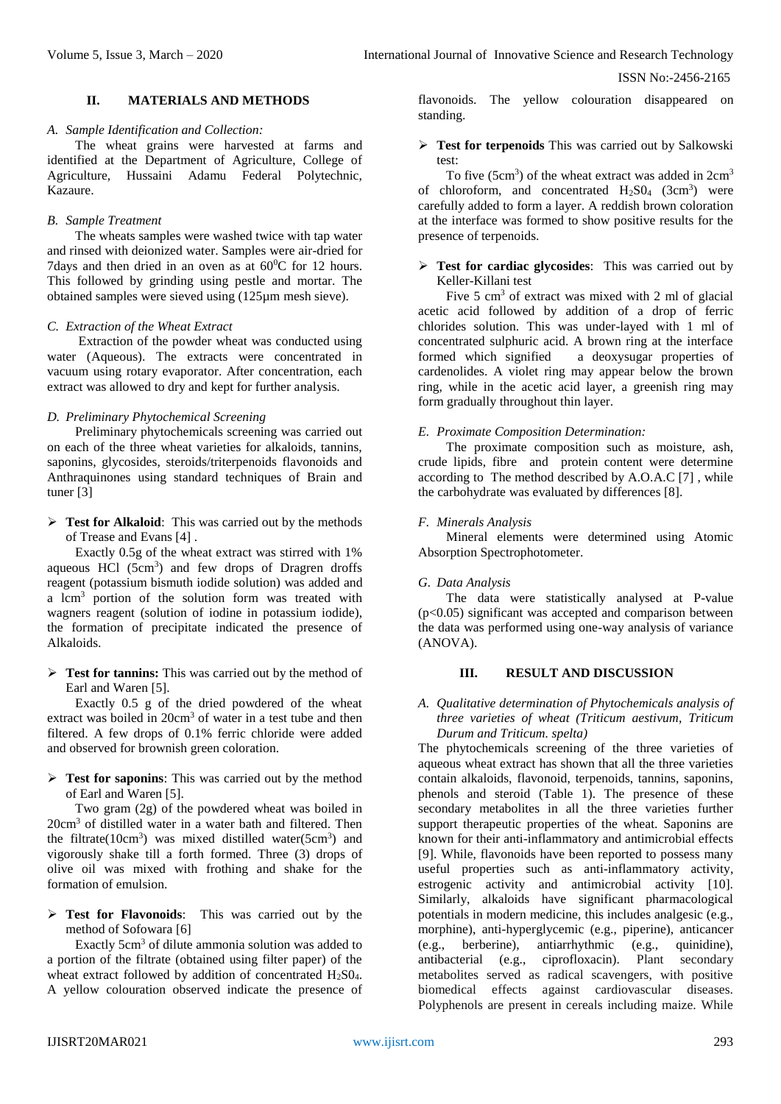ISSN No:-2456-2165

## **II. MATERIALS AND METHODS**

#### *A. Sample Identification and Collection:*

The wheat grains were harvested at farms and identified at the Department of Agriculture, College of Agriculture, Hussaini Adamu Federal Polytechnic, Kazaure.

### *B. Sample Treatment*

The wheats samples were washed twice with tap water and rinsed with deionized water. Samples were air-dried for 7days and then dried in an oven as at  $60^{\circ}$ C for 12 hours. This followed by grinding using pestle and mortar. The obtained samples were sieved using (125µm mesh sieve).

#### *C. Extraction of the Wheat Extract*

Extraction of the powder wheat was conducted using water (Aqueous). The extracts were concentrated in vacuum using rotary evaporator. After concentration, each extract was allowed to dry and kept for further analysis.

## *D. Preliminary Phytochemical Screening*

Preliminary phytochemicals screening was carried out on each of the three wheat varieties for alkaloids, tannins, saponins, glycosides, steroids/triterpenoids flavonoids and Anthraquinones using standard techniques of Brain and tuner [3]

**Fest for Alkaloid:** This was carried out by the methods of Trease and Evans [4] .

Exactly 0.5g of the wheat extract was stirred with 1% aqueous HCl (5cm<sup>3</sup>) and few drops of Dragren droffs reagent (potassium bismuth iodide solution) was added and a lcm<sup>3</sup> portion of the solution form was treated with wagners reagent (solution of iodine in potassium iodide), the formation of precipitate indicated the presence of Alkaloids.

**Test for tannins:** This was carried out by the method of Earl and Waren [5].

Exactly 0.5 g of the dried powdered of the wheat extract was boiled in 20cm<sup>3</sup> of water in a test tube and then filtered. A few drops of 0.1% ferric chloride were added and observed for brownish green coloration.

**Test for saponins**: This was carried out by the method of Earl and Waren [5].

Two gram (2g) of the powdered wheat was boiled in 20cm<sup>3</sup> of distilled water in a water bath and filtered. Then the filtrate( $10 \text{cm}^3$ ) was mixed distilled water( $5 \text{cm}^3$ ) and vigorously shake till a forth formed. Three (3) drops of olive oil was mixed with frothing and shake for the formation of emulsion.

 **Test for Flavonoids**: This was carried out by the method of Sofowara [6]

Exactly 5cm<sup>3</sup> of dilute ammonia solution was added to a portion of the filtrate (obtained using filter paper) of the wheat extract followed by addition of concentrated H<sub>2</sub>S0<sub>4</sub>. A yellow colouration observed indicate the presence of

flavonoids. The yellow colouration disappeared on standing.

### **Test for terpenoids** This was carried out by Salkowski test:

To five  $(5cm<sup>3</sup>)$  of the wheat extract was added in  $2cm<sup>3</sup>$ of chloroform, and concentrated  $H_2SO_4$  (3cm<sup>3</sup>) were carefully added to form a layer. A reddish brown coloration at the interface was formed to show positive results for the presence of terpenoids.

## **Test for cardiac glycosides**: This was carried out by Keller-Killani test

Five 5 cm<sup>3</sup> of extract was mixed with 2 ml of glacial acetic acid followed by addition of a drop of ferric chlorides solution. This was under-layed with 1 ml of concentrated sulphuric acid. A brown ring at the interface formed which signified a deoxysugar properties of cardenolides. A violet ring may appear below the brown ring, while in the acetic acid layer, a greenish ring may form gradually throughout thin layer.

## *E. Proximate Composition Determination:*

The proximate composition such as moisture, ash, crude lipids, fibre and protein content were determine according to The method described by A.O.A.C [7] , while the carbohydrate was evaluated by differences [8].

#### *F. Minerals Analysis*

Mineral elements were determined using Atomic Absorption Spectrophotometer.

## *G. Data Analysis*

The data were statistically analysed at P-value  $(p<0.05)$  significant was accepted and comparison between the data was performed using one-way analysis of variance (ANOVA).

### **III. RESULT AND DISCUSSION**

*A. Qualitative determination of Phytochemicals analysis of three varieties of wheat (Triticum aestivum, Triticum Durum and Triticum. spelta)*

The phytochemicals screening of the three varieties of aqueous wheat extract has shown that all the three varieties contain alkaloids, flavonoid, terpenoids, tannins, saponins, phenols and steroid (Table 1). The presence of these secondary metabolites in all the three varieties further support therapeutic properties of the wheat. Saponins are known for their anti-inflammatory and antimicrobial effects [9]. While, flavonoids have been reported to possess many useful properties such as anti-inflammatory activity, estrogenic activity and antimicrobial activity [10]. Similarly, alkaloids have significant pharmacological potentials in modern medicine, this includes analgesic (e.g., morphine), anti-hyperglycemic (e.g., piperine), anticancer (e.g., berberine), antiarrhythmic (e.g., quinidine), antibacterial (e.g., ciprofloxacin). Plant secondary metabolites served as radical scavengers, with positive biomedical effects against cardiovascular diseases. Polyphenols are present in cereals including maize. While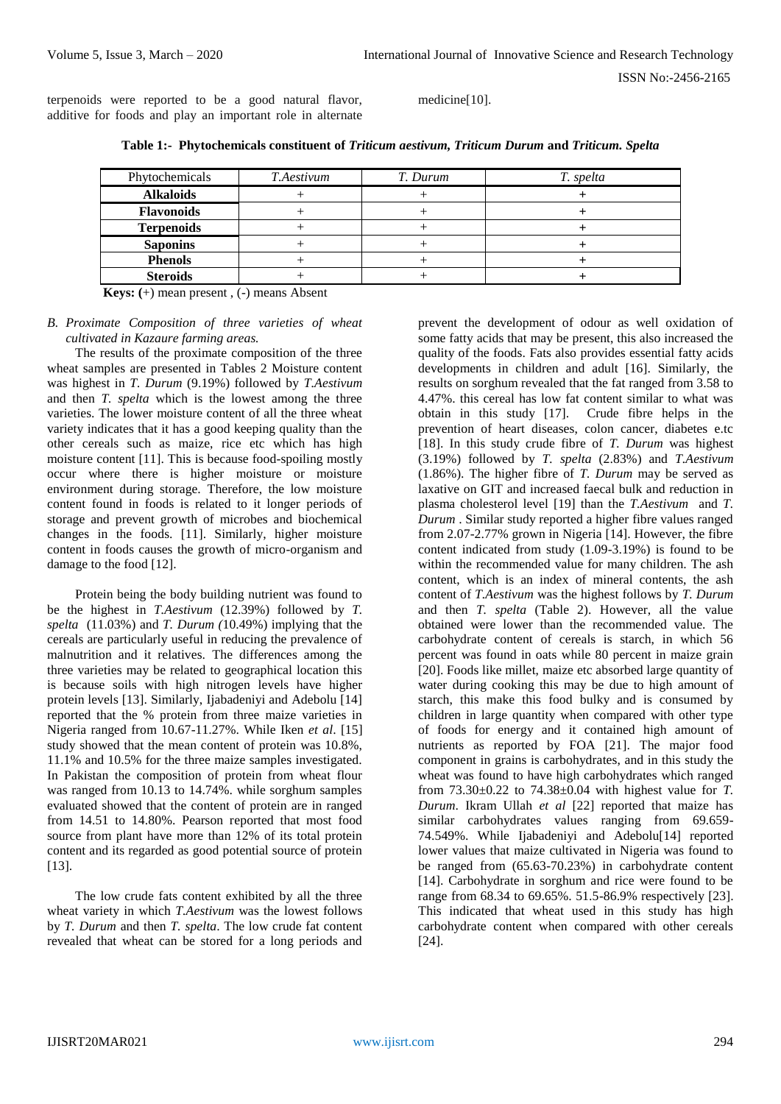terpenoids were reported to be a good natural flavor, additive for foods and play an important role in alternate medicine[10].

| Phytochemicals    | <i>T.Aestivum</i> | T. Durum | T. spelta |
|-------------------|-------------------|----------|-----------|
| <b>Alkaloids</b>  |                   |          |           |
| <b>Flavonoids</b> |                   |          |           |
| <b>Terpenoids</b> |                   |          |           |

**Saponins** + + **+ Phenols** + + **+ Steroids** + + **+**

**Table 1:- Phytochemicals constituent of** *Triticum aestivum, Triticum Durum* **and** *Triticum. Spelta*

 **Keys: (**+) mean present , (-) means Absent

## *B. Proximate Composition of three varieties of wheat cultivated in Kazaure farming areas.*

The results of the proximate composition of the three wheat samples are presented in Tables 2 Moisture content was highest in *T. Durum* (9.19%) followed by *T.Aestivum* and then *T. spelta* which is the lowest among the three varieties. The lower moisture content of all the three wheat variety indicates that it has a good keeping quality than the other cereals such as maize, rice etc which has high moisture content [11]. This is because food-spoiling mostly occur where there is higher moisture or moisture environment during storage. Therefore, the low moisture content found in foods is related to it longer periods of storage and prevent growth of microbes and biochemical changes in the foods. [11]. Similarly, higher moisture content in foods causes the growth of micro-organism and damage to the food [12].

Protein being the body building nutrient was found to be the highest in *T.Aestivum* (12.39%) followed by *T. spelta* (11.03%) and *T. Durum (*10.49%) implying that the cereals are particularly useful in reducing the prevalence of malnutrition and it relatives. The differences among the three varieties may be related to geographical location this is because soils with high nitrogen levels have higher protein levels [13]. Similarly, Ijabadeniyi and Adebolu [14] reported that the % protein from three maize varieties in Nigeria ranged from 10.67-11.27%. While Iken *et al*. [15] study showed that the mean content of protein was 10.8%, 11.1% and 10.5% for the three maize samples investigated. In Pakistan the composition of protein from wheat flour was ranged from 10.13 to 14.74%. while sorghum samples evaluated showed that the content of protein are in ranged from 14.51 to 14.80%. Pearson reported that most food source from plant have more than 12% of its total protein content and its regarded as good potential source of protein [13].

The low crude fats content exhibited by all the three wheat variety in which *T.Aestivum* was the lowest follows by *T. Durum* and then *T. spelta*. The low crude fat content revealed that wheat can be stored for a long periods and

prevent the development of odour as well oxidation of some fatty acids that may be present, this also increased the quality of the foods. Fats also provides essential fatty acids developments in children and adult [16]. Similarly, the results on sorghum revealed that the fat ranged from 3.58 to 4.47%. this cereal has low fat content similar to what was obtain in this study [17]. Crude fibre helps in the prevention of heart diseases, colon cancer, diabetes e.tc [18]. In this study crude fibre of *T. Durum* was highest (3.19%) followed by *T. spelta* (2.83%) and *T.Aestivum* (1.86%). The higher fibre of *T. Durum* may be served as laxative on GIT and increased faecal bulk and reduction in plasma cholesterol level [19] than the *T.Aestivum* and *T. Durum* . Similar study reported a higher fibre values ranged from 2.07-2.77% grown in Nigeria [14]. However, the fibre content indicated from study (1.09-3.19%) is found to be within the recommended value for many children. The ash content, which is an index of mineral contents, the ash content of *T.Aestivum* was the highest follows by *T. Durum* and then *T. spelta* (Table 2). However, all the value obtained were lower than the recommended value. The carbohydrate content of cereals is starch, in which 56 percent was found in oats while 80 percent in maize grain [20]. Foods like millet, maize etc absorbed large quantity of water during cooking this may be due to high amount of starch, this make this food bulky and is consumed by children in large quantity when compared with other type of foods for energy and it contained high amount of nutrients as reported by FOA [21]. The major food component in grains is carbohydrates, and in this study the wheat was found to have high carbohydrates which ranged from 73.30±0.22 to 74.38±0.04 with highest value for *T. Durum*. Ikram Ullah *et al* [22] reported that maize has similar carbohydrates values ranging from 69.659- 74.549%. While Ijabadeniyi and Adebolu[14] reported lower values that maize cultivated in Nigeria was found to be ranged from (65.63-70.23%) in carbohydrate content [14]. Carbohydrate in sorghum and rice were found to be range from 68.34 to 69.65%. 51.5-86.9% respectively [23]. This indicated that wheat used in this study has high carbohydrate content when compared with other cereals [24].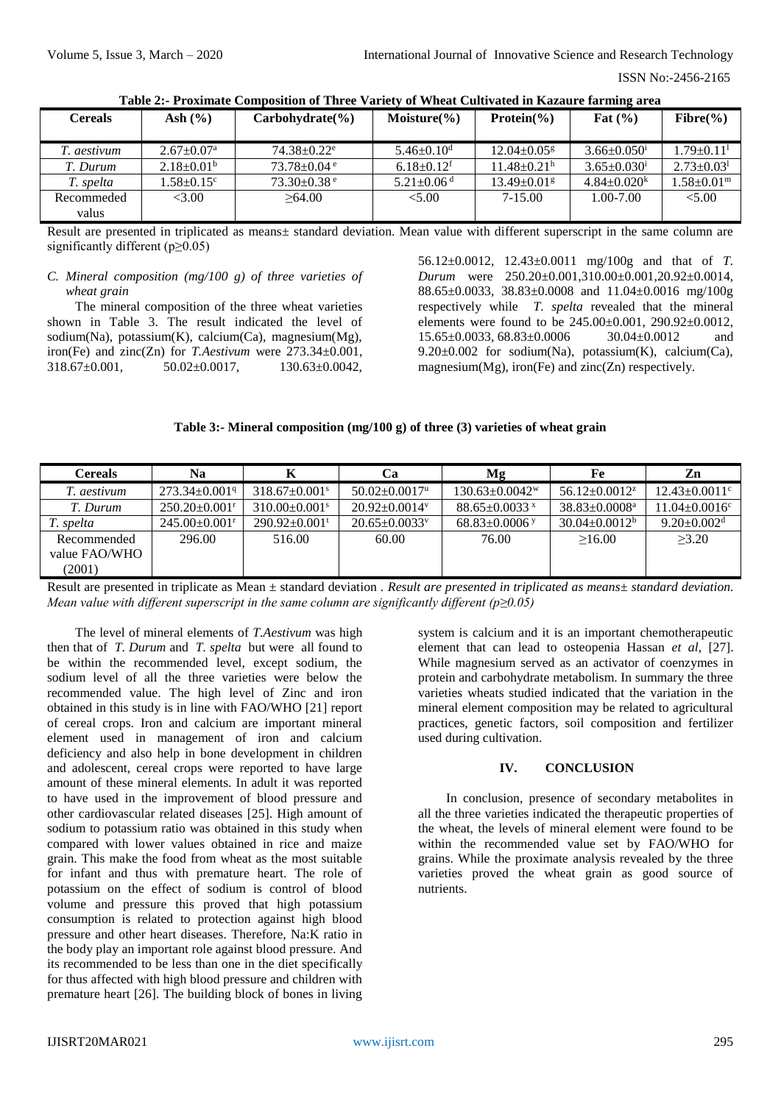ISSN No:-2456-2165

| <b>Cereals</b>      | Ash $(\% )$                | $Carbohydrate(\frac{9}{6})$   | Moisture $(\% )$             | Protein $\frac{6}{6}$         | Fat $(\% )$                   | $Fibre(\% )$           |
|---------------------|----------------------------|-------------------------------|------------------------------|-------------------------------|-------------------------------|------------------------|
| T. aestivum         | $2.67 \pm 0.07^{\text{a}}$ | $74.38 \pm 0.22$ <sup>e</sup> | $5.46 \pm 0.10^{\rm d}$      | $12.04 \pm 0.05$ <sup>g</sup> | $3.66 \pm 0.050$ <sup>i</sup> | $1.79 \pm 0.11^1$      |
| T. Durum            | $2.18+0.01b$               | $73.78 + 0.04$ <sup>e</sup>   | $6.18 \pm 0.12$ <sup>f</sup> | $11.48 + 0.21$ <sup>h</sup>   | $3.65 \pm 0.030$ <sup>1</sup> | $2.73 \pm 0.03^1$      |
| T. spelta           | $1.58 \pm 0.15^{\circ}$    | $73.30\pm0.38$ <sup>e</sup>   | $5.21 \pm 0.06$ <sup>d</sup> | $13.49 \pm 0.01$ <sup>g</sup> | $4.84 + 0.020k$               | $.58 \pm 0.01^{\rm m}$ |
| Recommeded<br>valus | <3.00                      | >64.00                        | < 5.00                       | $7-15.00$                     | $1.00 - 7.00$                 | < 5.00                 |

**Table 2:- Proximate Composition of Three Variety of Wheat Cultivated in Kazaure farming area**

Result are presented in triplicated as means± standard deviation. Mean value with different superscript in the same column are significantly different (p≥0.05)

## *C. Mineral composition (mg/100 g) of three varieties of wheat grain*

The mineral composition of the three wheat varieties shown in Table 3. The result indicated the level of sodium(Na), potassium(K), calcium(Ca), magnesium(Mg), iron(Fe) and zinc(Zn) for *T.Aestivum* were 273.34±0.001, 318.67±0.001, 50.02±0.0017, 130.63±0.0042,

56.12±0.0012, 12.43±0.0011 mg/100g and that of *T. Durum* were 250.20±0.001,310.00±0.001,20.92±0.0014, 88.65±0.0033, 38.83±0.0008 and 11.04±0.0016 mg/100g respectively while *T. spelta* revealed that the mineral elements were found to be 245.00±0.001, 290.92±0.0012, 15.65±0.0033, 68.83±0.0006 30.04±0.0012 and 9.20 $\pm$ 0.002 for sodium(Na), potassium(K), calcium(Ca), magnesium $(Mg)$ , iron(Fe) and zinc $(Zn)$  respectively.

## **Table 3:- Mineral composition (mg/100 g) of three (3) varieties of wheat grain**

| <b>Cereals</b> | Na                              | K                               | Cа                              | Mg                               | Fe                   | Zn                              |
|----------------|---------------------------------|---------------------------------|---------------------------------|----------------------------------|----------------------|---------------------------------|
| T. aestivum    | $273.34 \pm 0.0019$             | $318.67 \pm 0.001$ <sup>s</sup> | $50.02 \pm 0.0017$ <sup>u</sup> | $130.63 \pm 0.0042$ <sup>w</sup> | $56.12 \pm 0.0012^z$ | $12.43 \pm 0.0011$ <sup>c</sup> |
| T. Durum       | $250.20 \pm 0.001$ <sup>r</sup> | $310.00 \pm 0.001$ <sup>s</sup> | $20.92 \pm 0.0014$ <sup>y</sup> | $88.65 \pm 0.0033$ x             | $38.83 \pm 0.0008^a$ | $11.04 \pm 0.0016$ <sup>c</sup> |
| T. spelta      | $245.00 \pm 0.001$ <sup>r</sup> | $290.92 \pm 0.001$ <sup>t</sup> | $20.65 \pm 0.0033$ <sup>y</sup> | $68.83 \pm 0.0006$ y             | $30.04 \pm 0.0012^b$ | $9.20 \pm 0.002$ <sup>d</sup>   |
| Recommended    | 296.00                          | 516.00                          | 60.00                           | 76.00                            | >16.00               | >3.20                           |
| value FAO/WHO  |                                 |                                 |                                 |                                  |                      |                                 |
| (2001)         |                                 |                                 |                                 |                                  |                      |                                 |

Result are presented in triplicate as Mean ± standard deviation . *Result are presented in triplicated as means*± *standard deviation. Mean value with different superscript in the same column are significantly different (p≥0.05)*

The level of mineral elements of *T.Aestivum* was high then that of *T. Durum* and *T. spelta* but were all found to be within the recommended level, except sodium, the sodium level of all the three varieties were below the recommended value. The high level of Zinc and iron obtained in this study is in line with FAO/WHO [21] report of cereal crops. Iron and calcium are important mineral element used in management of iron and calcium deficiency and also help in bone development in children and adolescent, cereal crops were reported to have large amount of these mineral elements. In adult it was reported to have used in the improvement of blood pressure and other cardiovascular related diseases [25]. High amount of sodium to potassium ratio was obtained in this study when compared with lower values obtained in rice and maize grain. This make the food from wheat as the most suitable for infant and thus with premature heart. The role of potassium on the effect of sodium is control of blood volume and pressure this proved that high potassium consumption is related to protection against high blood pressure and other heart diseases. Therefore, Na:K ratio in the body play an important role against blood pressure. And its recommended to be less than one in the diet specifically for thus affected with high blood pressure and children with premature heart [26]. The building block of bones in living

system is calcium and it is an important chemotherapeutic element that can lead to osteopenia Hassan *et al*, [27]. While magnesium served as an activator of coenzymes in protein and carbohydrate metabolism. In summary the three varieties wheats studied indicated that the variation in the mineral element composition may be related to agricultural practices, genetic factors, soil composition and fertilizer used during cultivation.

#### **IV. CONCLUSION**

In conclusion, presence of secondary metabolites in all the three varieties indicated the therapeutic properties of the wheat, the levels of mineral element were found to be within the recommended value set by FAO/WHO for grains. While the proximate analysis revealed by the three varieties proved the wheat grain as good source of nutrients.